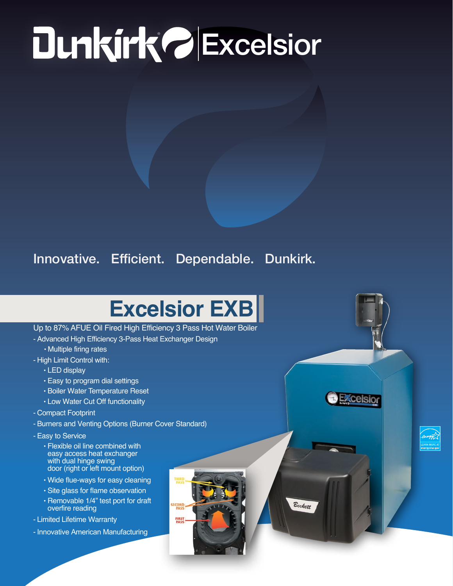# **PExcelsion**

### Innovative. Efficient. Dependable. Dunkirk.

## **Excelsior EXB**

**SECOND**<br>PASS **FIRST**<br>PASS

**Ezcelsion** 

Beckett

#### Up to 87% AFUE Oil Fired High Efficiency 3 Pass Hot Water Boiler

- Advanced High Efficiency 3-Pass Heat Exchanger Design
	- Multiple firing rates
- High Limit Control with:
	- LED display
	- Easy to program dial settings
	- Boiler Water Temperature Reset
	- Low Water Cut Off functionality
- Compact Footprint
- Burners and Venting Options (Burner Cover Standard)
- Easy to Service
	- Flexible oil line combined with easy access heat exchanger with dual hinge swing door (right or left mount option)
	- Wide flue-ways for easy cleaning
	- Site glass for flame observation
	- Removable 1/4" test port for draft overfire reading
- Limited Lifetime Warranty
- Innovative American Manufacturing